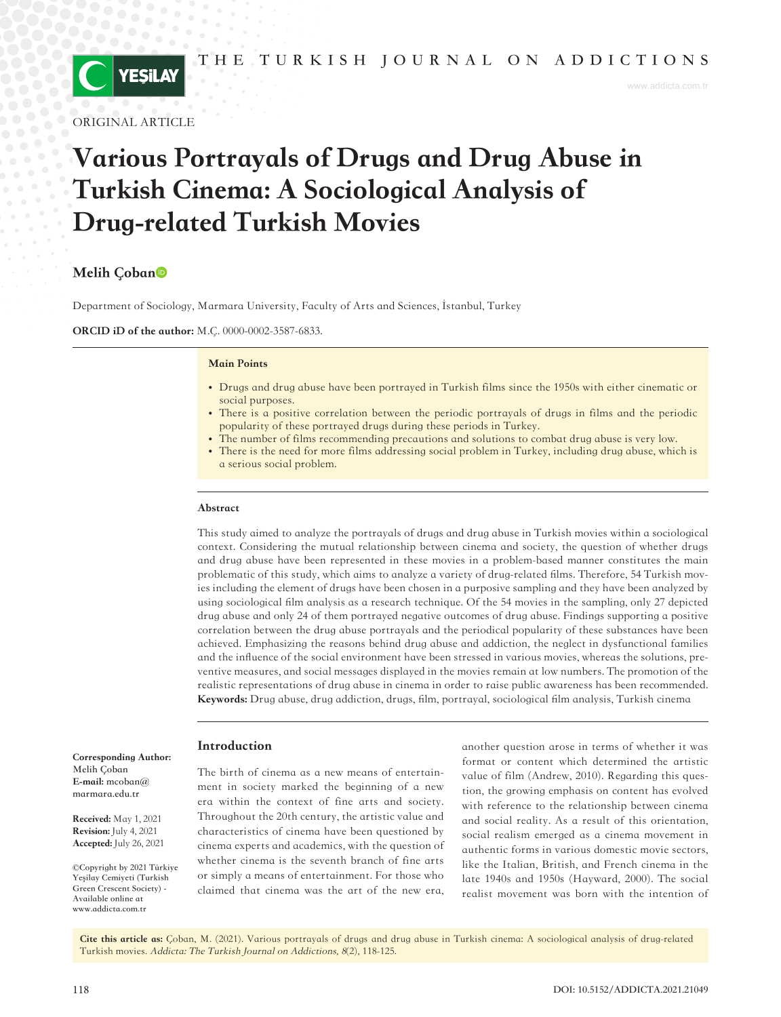

ORIGINAL ARTICLE

# Various Portrayals of Drugs and Drug Abuse in Turkish Cinema: A Sociological Analysis of Drug-related Turkish Movies

# Melih Coban<sup>o</sup>

Department of Sociology, Marmara University, Faculty of Arts and Sciences, İstanbul, Turkey

ORCID iD of the author: M.Ç. 0000-0002-3587-6833.

#### Main Points

- Drugs and drug abuse have been portrayed in Turkish films since the 1950s with either cinematic or social purposes.
- There is a positive correlation between the periodic portrayals of drugs in films and the periodic popularity of these portrayed drugs during these periods in Turkey.
- The number of films recommending precautions and solutions to combat drug abuse is very low.
- There is the need for more films addressing social problem in Turkey, including drug abuse, which is a serious social problem.

#### Abstract

This study aimed to analyze the portrayals of drugs and drug abuse in Turkish movies within a sociological context. Considering the mutual relationship between cinema and society, the question of whether drugs and drug abuse have been represented in these movies in a problem-based manner constitutes the main problematic of this study, which aims to analyze a variety of drug-related films. Therefore, 54 Turkish movies including the element of drugs have been chosen in a purposive sampling and they have been analyzed by using sociological film analysis as a research technique. Of the 54 movies in the sampling, only 27 depicted drug abuse and only 24 of them portrayed negative outcomes of drug abuse. Findings supporting a positive correlation between the drug abuse portrayals and the periodical popularity of these substances have been achieved. Emphasizing the reasons behind drug abuse and addiction, the neglect in dysfunctional families and the influence of the social environment have been stressed in various movies, whereas the solutions, preventive measures, and social messages displayed in the movies remain at low numbers. The promotion of the realistic representations of drug abuse in cinema in order to raise public awareness has been recommended. Keywords: Drug abuse, drug addiction, drugs, film, portrayal, sociological film analysis, Turkish cinema

### Introduction

The birth of cinema as a new means of entertainment in society marked the beginning of a new era within the context of fine arts and society. Throughout the 20th century, the artistic value and characteristics of cinema have been questioned by cinema experts and academics, with the question of whether cinema is the seventh branch of fine arts or simply a means of entertainment. For those who claimed that cinema was the art of the new era,

another question arose in terms of whether it was format or content which determined the artistic value of film (Andrew, 2010). Regarding this question, the growing emphasis on content has evolved with reference to the relationship between cinema and social reality. As a result of this orientation, social realism emerged as a cinema movement in authentic forms in various domestic movie sectors, like the Italian, British, and French cinema in the late 1940s and 1950s (Hayward, 2000). The social realist movement was born with the intention of

Cite this article as: Çoban, M. (2021). Various portrayals of drugs and drug abuse in Turkish cinema: A sociological analysis of drug-related Turkish movies. Addicta: The Turkish Journal on Addictions, <sup>8</sup>(2), 118-125.

Corresponding Author: **Melih Çoban**  E-mail: **[mcoban@](mailto:mcoban@marmara.edu.tr)**

Revision: July 4, 2021 Accepted: July 26, 2021

**©Copyright by 2021 Türkiye Yeşilay Cemiyeti (Turkish Green Crescent Society) - Available online at www.addicta.com.tr**

Received: May 1, 2021

**[marmara.edu.tr](mailto:mcoban@marmara.edu.tr)**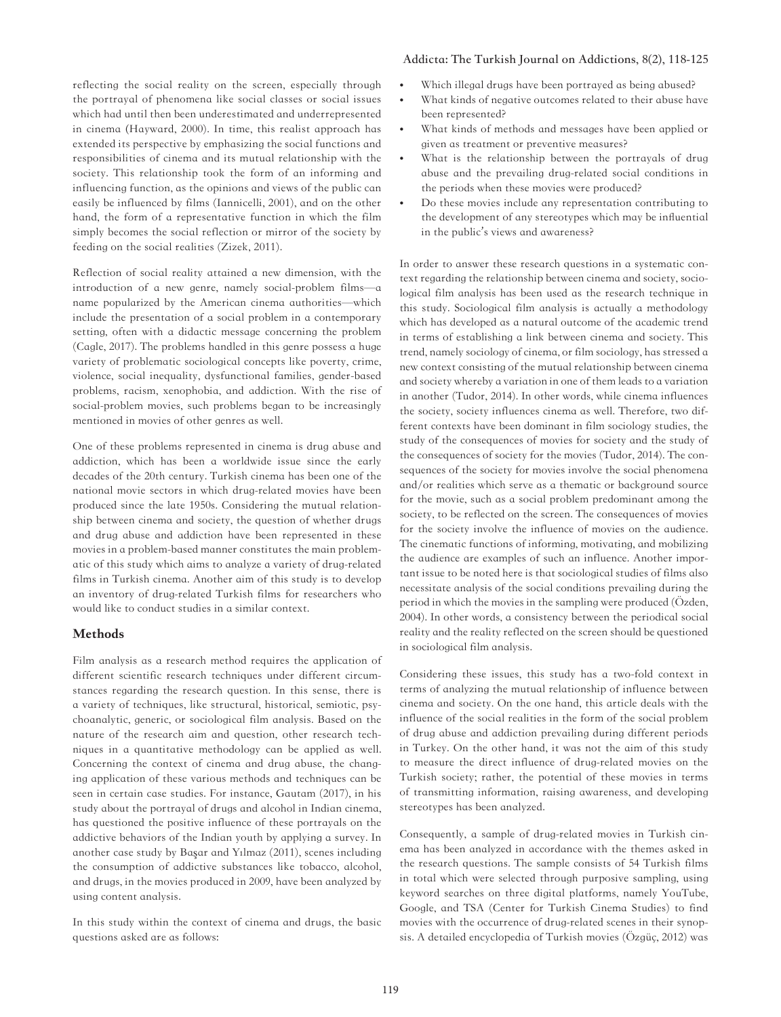#### **Addicta: The Turkish Journal on Addictions, 8(2), 118-125**

reflecting the social reality on the screen, especially through the portrayal of phenomena like social classes or social issues which had until then been underestimated and underrepresented in cinema **(**Hayward, 2000). In time, this realist approach has extended its perspective by emphasizing the social functions and responsibilities of cinema and its mutual relationship with the society. This relationship took the form of an informing and influencing function, as the opinions and views of the public can easily be influenced by films (Iannicelli, 2001), and on the other hand, the form of a representative function in which the film simply becomes the social reflection or mirror of the society by feeding on the social realities (Zizek, 2011).

Reflection of social reality attained a new dimension, with the introduction of a new genre, namely social-problem films—a name popularized by the American cinema authorities—which include the presentation of a social problem in a contemporary setting, often with a didactic message concerning the problem (Cagle, 2017). The problems handled in this genre possess a huge variety of problematic sociological concepts like poverty, crime, violence, social inequality, dysfunctional families, gender-based problems, racism, xenophobia, and addiction. With the rise of social-problem movies, such problems began to be increasingly mentioned in movies of other genres as well.

One of these problems represented in cinema is drug abuse and addiction, which has been a worldwide issue since the early decades of the 20th century. Turkish cinema has been one of the national movie sectors in which drug-related movies have been produced since the late 1950s. Considering the mutual relationship between cinema and society, the question of whether drugs and drug abuse and addiction have been represented in these movies in a problem-based manner constitutes the main problematic of this study which aims to analyze a variety of drug-related films in Turkish cinema. Another aim of this study is to develop an inventory of drug-related Turkish films for researchers who would like to conduct studies in a similar context.

# Methods

Film analysis as a research method requires the application of different scientific research techniques under different circumstances regarding the research question. In this sense, there is a variety of techniques, like structural, historical, semiotic, psychoanalytic, generic, or sociological film analysis. Based on the nature of the research aim and question, other research techniques in a quantitative methodology can be applied as well. Concerning the context of cinema and drug abuse, the changing application of these various methods and techniques can be seen in certain case studies. For instance, Gautam (2017), in his study about the portrayal of drugs and alcohol in Indian cinema, has questioned the positive influence of these portrayals on the addictive behaviors of the Indian youth by applying a survey. In another case study by Başar and Yılmaz (2011), scenes including the consumption of addictive substances like tobacco, alcohol, and drugs, in the movies produced in 2009, have been analyzed by using content analysis.

In this study within the context of cinema and drugs, the basic questions asked are as follows:

- **•** Which illegal drugs have been portrayed as being abused?
- **•** What kinds of negative outcomes related to their abuse have been represented?
- **•** What kinds of methods and messages have been applied or given as treatment or preventive measures?
- **•** What is the relationship between the portrayals of drug abuse and the prevailing drug-related social conditions in the periods when these movies were produced?
- **•** Do these movies include any representation contributing to the development of any stereotypes which may be influential in the public's views and awareness?

In order to answer these research questions in a systematic context regarding the relationship between cinema and society, sociological film analysis has been used as the research technique in this study. Sociological film analysis is actually a methodology which has developed as a natural outcome of the academic trend in terms of establishing a link between cinema and society. This trend, namely sociology of cinema, or film sociology, has stressed a new context consisting of the mutual relationship between cinema and society whereby a variation in one of them leads to a variation in another (Tudor, 2014). In other words, while cinema influences the society, society influences cinema as well. Therefore, two different contexts have been dominant in film sociology studies, the study of the consequences of movies for society and the study of the consequences of society for the movies (Tudor, 2014). The consequences of the society for movies involve the social phenomena and/or realities which serve as a thematic or background source for the movie, such as a social problem predominant among the society, to be reflected on the screen. The consequences of movies for the society involve the influence of movies on the audience. The cinematic functions of informing, motivating, and mobilizing the audience are examples of such an influence. Another important issue to be noted here is that sociological studies of films also necessitate analysis of the social conditions prevailing during the period in which the movies in the sampling were produced (Özden, 2004). In other words, a consistency between the periodical social reality and the reality reflected on the screen should be questioned in sociological film analysis.

Considering these issues, this study has a two-fold context in terms of analyzing the mutual relationship of influence between cinema and society. On the one hand, this article deals with the influence of the social realities in the form of the social problem of drug abuse and addiction prevailing during different periods in Turkey. On the other hand, it was not the aim of this study to measure the direct influence of drug-related movies on the Turkish society; rather, the potential of these movies in terms of transmitting information, raising awareness, and developing stereotypes has been analyzed.

Consequently, a sample of drug-related movies in Turkish cinema has been analyzed in accordance with the themes asked in the research questions. The sample consists of 54 Turkish films in total which were selected through purposive sampling, using keyword searches on three digital platforms, namely YouTube, Google, and TSA (Center for Turkish Cinema Studies) to find movies with the occurrence of drug-related scenes in their synopsis. A detailed encyclopedia of Turkish movies (Özgüç, 2012) was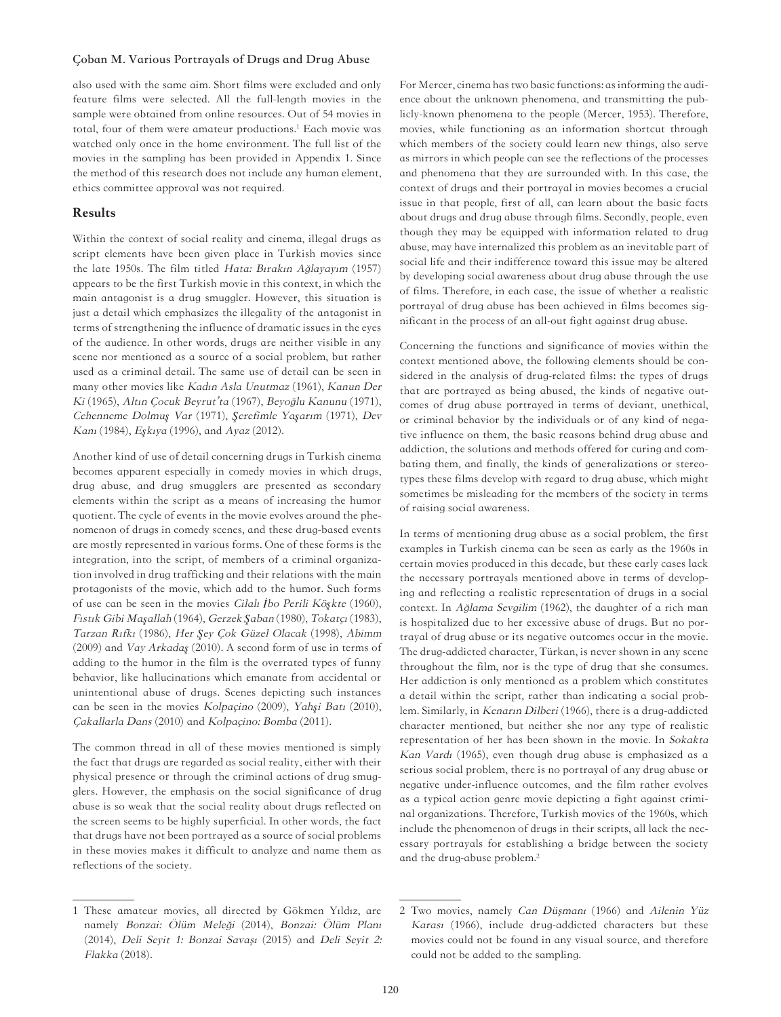# **Çoban M. Various Portrayals of Drugs and Drug Abuse**

also used with the same aim. Short films were excluded and only feature films were selected. All the full-length movies in the sample were obtained from online resources. Out of 54 movies in total, four of them were amateur productions.1 Each movie was watched only once in the home environment. The full list of the movies in the sampling has been provided in Appendix 1. Since the method of this research does not include any human element, ethics committee approval was not required.

#### Results

Within the context of social reality and cinema, illegal drugs as script elements have been given place in Turkish movies since the late 1950s. The film titled Hata: Bırakın Ağlayayım (1957) appears to be the first Turkish movie in this context, in which the main antagonist is a drug smuggler. However, this situation is just a detail which emphasizes the illegality of the antagonist in terms of strengthening the influence of dramatic issues in the eyes of the audience. In other words, drugs are neither visible in any scene nor mentioned as a source of a social problem, but rather used as a criminal detail. The same use of detail can be seen in many other movies like Kadın Asla Unutmaz (1961), Kanun Der Ki (1965), Altın Çocuk Beyrut'ta (1967), Beyoğlu Kanunu (1971), Cehenneme Dolmu*ş* Var (1971), *Ş*erefimle Ya*ş*arım (1971), Dev Kanı (1984), E*ş*kıya (1996), and Ayaz (2012).

Another kind of use of detail concerning drugs in Turkish cinema becomes apparent especially in comedy movies in which drugs, drug abuse, and drug smugglers are presented as secondary elements within the script as a means of increasing the humor quotient. The cycle of events in the movie evolves around the phenomenon of drugs in comedy scenes, and these drug-based events are mostly represented in various forms. One of these forms is the integration, into the script, of members of a criminal organization involved in drug trafficking and their relations with the main protagonists of the movie, which add to the humor. Such forms of use can be seen in the movies Cilalı *İ*bo Perili Kö*ş*kte (1960), Fıstık Gibi Ma*ş*allah (1964), Gerzek *Ş*aban (1980), Tokatçı (1983), Tarzan Rıfkı (1986), Her *Ş*ey Çok Güzel Olacak (1998), Abimm (2009) and Vay Arkada*ş* (2010). A second form of use in terms of adding to the humor in the film is the overrated types of funny behavior, like hallucinations which emanate from accidental or unintentional abuse of drugs. Scenes depicting such instances can be seen in the movies Kolpaçino (2009), Yah*ş*i Batı (2010), Çakallarla Dans (2010) and Kolpaçino: Bomba (2011).

The common thread in all of these movies mentioned is simply the fact that drugs are regarded as social reality, either with their physical presence or through the criminal actions of drug smugglers. However, the emphasis on the social significance of drug abuse is so weak that the social reality about drugs reflected on the screen seems to be highly superficial. In other words, the fact that drugs have not been portrayed as a source of social problems in these movies makes it difficult to analyze and name them as reflections of the society.

For Mercer, cinema has two basic functions: as informing the audience about the unknown phenomena, and transmitting the publicly-known phenomena to the people (Mercer, 1953). Therefore, movies, while functioning as an information shortcut through which members of the society could learn new things, also serve as mirrors in which people can see the reflections of the processes and phenomena that they are surrounded with. In this case, the context of drugs and their portrayal in movies becomes a crucial issue in that people, first of all, can learn about the basic facts about drugs and drug abuse through films. Secondly, people, even though they may be equipped with information related to drug abuse, may have internalized this problem as an inevitable part of social life and their indifference toward this issue may be altered by developing social awareness about drug abuse through the use of films. Therefore, in each case, the issue of whether a realistic portrayal of drug abuse has been achieved in films becomes significant in the process of an all-out fight against drug abuse.

Concerning the functions and significance of movies within the context mentioned above, the following elements should be considered in the analysis of drug-related films: the types of drugs that are portrayed as being abused, the kinds of negative outcomes of drug abuse portrayed in terms of deviant, unethical, or criminal behavior by the individuals or of any kind of negative influence on them, the basic reasons behind drug abuse and addiction, the solutions and methods offered for curing and combating them, and finally, the kinds of generalizations or stereotypes these films develop with regard to drug abuse, which might sometimes be misleading for the members of the society in terms of raising social awareness.

In terms of mentioning drug abuse as a social problem, the first examples in Turkish cinema can be seen as early as the 1960s in certain movies produced in this decade, but these early cases lack the necessary portrayals mentioned above in terms of developing and reflecting a realistic representation of drugs in a social context. In Ağlama Sevgilim (1962), the daughter of a rich man is hospitalized due to her excessive abuse of drugs. But no portrayal of drug abuse or its negative outcomes occur in the movie. The drug-addicted character, Türkan, is never shown in any scene throughout the film, nor is the type of drug that she consumes. Her addiction is only mentioned as a problem which constitutes a detail within the script, rather than indicating a social problem. Similarly, in Kenarın Dilberi (1966), there is a drug-addicted character mentioned, but neither she nor any type of realistic representation of her has been shown in the movie. In Sokakta Kan Vardı (1965), even though drug abuse is emphasized as a serious social problem, there is no portrayal of any drug abuse or negative under-influence outcomes, and the film rather evolves as a typical action genre movie depicting a fight against criminal organizations. Therefore, Turkish movies of the 1960s, which include the phenomenon of drugs in their scripts, all lack the necessary portrayals for establishing a bridge between the society and the drug-abuse problem.2

<sup>1</sup> These amateur movies, all directed by Gökmen Yıldız, are namely Bonzai: Ölüm Meleği (2014), Bonzai: Ölüm Planı (2014), Deli Seyit 1: Bonzai Savaşı (2015) and Deli Seyit 2: Flakka (2018).

<sup>2</sup> Two movies, namely Can Düşmanı (1966) and Ailenin Yüz Karası (1966), include drug-addicted characters but these movies could not be found in any visual source, and therefore could not be added to the sampling.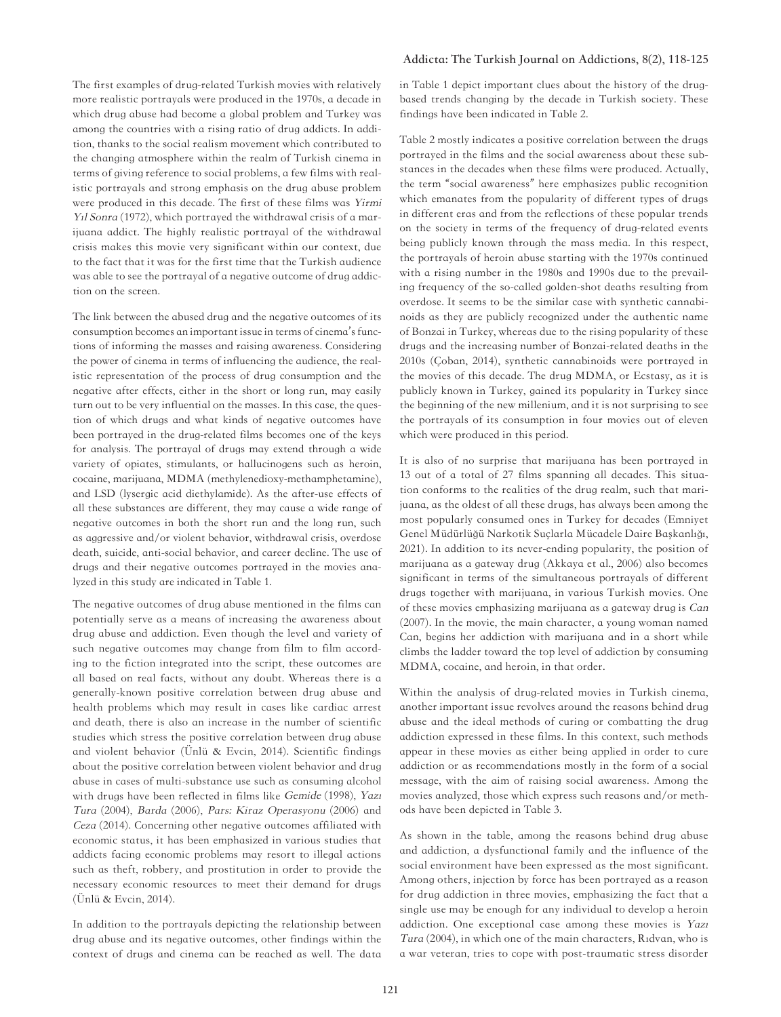The first examples of drug-related Turkish movies with relatively more realistic portrayals were produced in the 1970s, a decade in which drug abuse had become a global problem and Turkey was among the countries with a rising ratio of drug addicts. In addition, thanks to the social realism movement which contributed to the changing atmosphere within the realm of Turkish cinema in terms of giving reference to social problems, a few films with realistic portrayals and strong emphasis on the drug abuse problem were produced in this decade. The first of these films was Yirmi Yıl Sonra (1972), which portrayed the withdrawal crisis of a marijuana addict. The highly realistic portrayal of the withdrawal crisis makes this movie very significant within our context, due to the fact that it was for the first time that the Turkish audience was able to see the portrayal of a negative outcome of drug addiction on the screen.

The link between the abused drug and the negative outcomes of its consumption becomes an important issue in terms of cinema's functions of informing the masses and raising awareness. Considering the power of cinema in terms of influencing the audience, the realistic representation of the process of drug consumption and the negative after effects, either in the short or long run, may easily turn out to be very influential on the masses. In this case, the question of which drugs and what kinds of negative outcomes have been portrayed in the drug-related films becomes one of the keys for analysis. The portrayal of drugs may extend through a wide variety of opiates, stimulants, or hallucinogens such as heroin, cocaine, marijuana, MDMA (methylenedioxy-methamphetamine), and LSD (lysergic acid diethylamide). As the after-use effects of all these substances are different, they may cause a wide range of negative outcomes in both the short run and the long run, such as aggressive and/or violent behavior, withdrawal crisis, overdose death, suicide, anti-social behavior, and career decline. The use of drugs and their negative outcomes portrayed in the movies analyzed in this study are indicated in Table 1.

The negative outcomes of drug abuse mentioned in the films can potentially serve as a means of increasing the awareness about drug abuse and addiction. Even though the level and variety of such negative outcomes may change from film to film according to the fiction integrated into the script, these outcomes are all based on real facts, without any doubt. Whereas there is a generally-known positive correlation between drug abuse and health problems which may result in cases like cardiac arrest and death, there is also an increase in the number of scientific studies which stress the positive correlation between drug abuse and violent behavior (Ünlü & Evcin, 2014). Scientific findings about the positive correlation between violent behavior and drug abuse in cases of multi-substance use such as consuming alcohol with drugs have been reflected in films like Gemide (1998), Yazı Tura (2004), Barda (2006), Pars: Kiraz Operasyonu (2006) and Ceza (2014). Concerning other negative outcomes affiliated with economic status, it has been emphasized in various studies that addicts facing economic problems may resort to illegal actions such as theft, robbery, and prostitution in order to provide the necessary economic resources to meet their demand for drugs (Ünlü & Evcin, 2014).

In addition to the portrayals depicting the relationship between drug abuse and its negative outcomes, other findings within the context of drugs and cinema can be reached as well. The data

#### **Addicta: The Turkish Journal on Addictions, 8(2), 118-125**

in Table 1 depict important clues about the history of the drugbased trends changing by the decade in Turkish society. These findings have been indicated in Table 2.

Table 2 mostly indicates a positive correlation between the drugs portrayed in the films and the social awareness about these substances in the decades when these films were produced. Actually, the term "social awareness" here emphasizes public recognition which emanates from the popularity of different types of drugs in different eras and from the reflections of these popular trends on the society in terms of the frequency of drug-related events being publicly known through the mass media. In this respect, the portrayals of heroin abuse starting with the 1970s continued with a rising number in the 1980s and 1990s due to the prevailing frequency of the so-called golden-shot deaths resulting from overdose. It seems to be the similar case with synthetic cannabinoids as they are publicly recognized under the authentic name of Bonzai in Turkey, whereas due to the rising popularity of these drugs and the increasing number of Bonzai-related deaths in the 2010s (Çoban, 2014), synthetic cannabinoids were portrayed in the movies of this decade. The drug MDMA, or Ecstasy, as it is publicly known in Turkey, gained its popularity in Turkey since the beginning of the new millenium, and it is not surprising to see the portrayals of its consumption in four movies out of eleven which were produced in this period.

It is also of no surprise that marijuana has been portrayed in 13 out of a total of 27 films spanning all decades. This situation conforms to the realities of the drug realm, such that marijuana, as the oldest of all these drugs, has always been among the most popularly consumed ones in Turkey for decades (Emniyet Genel Müdürlüğü Narkotik Suçlarla Mücadele Daire Başkanlığı, 2021). In addition to its never-ending popularity, the position of marijuana as a gateway drug (Akkaya et al., 2006) also becomes significant in terms of the simultaneous portrayals of different drugs together with marijuana, in various Turkish movies. One of these movies emphasizing marijuana as a gateway drug is Can (2007). In the movie, the main character, a young woman named Can, begins her addiction with marijuana and in a short while climbs the ladder toward the top level of addiction by consuming MDMA, cocaine, and heroin, in that order.

Within the analysis of drug-related movies in Turkish cinema, another important issue revolves around the reasons behind drug abuse and the ideal methods of curing or combatting the drug addiction expressed in these films. In this context, such methods appear in these movies as either being applied in order to cure addiction or as recommendations mostly in the form of a social message, with the aim of raising social awareness. Among the movies analyzed, those which express such reasons and/or methods have been depicted in Table 3.

As shown in the table, among the reasons behind drug abuse and addiction, a dysfunctional family and the influence of the social environment have been expressed as the most significant. Among others, injection by force has been portrayed as a reason for drug addiction in three movies, emphasizing the fact that a single use may be enough for any individual to develop a heroin addiction. One exceptional case among these movies is Yazı Tura (2004), in which one of the main characters, Rıdvan, who is a war veteran, tries to cope with post-traumatic stress disorder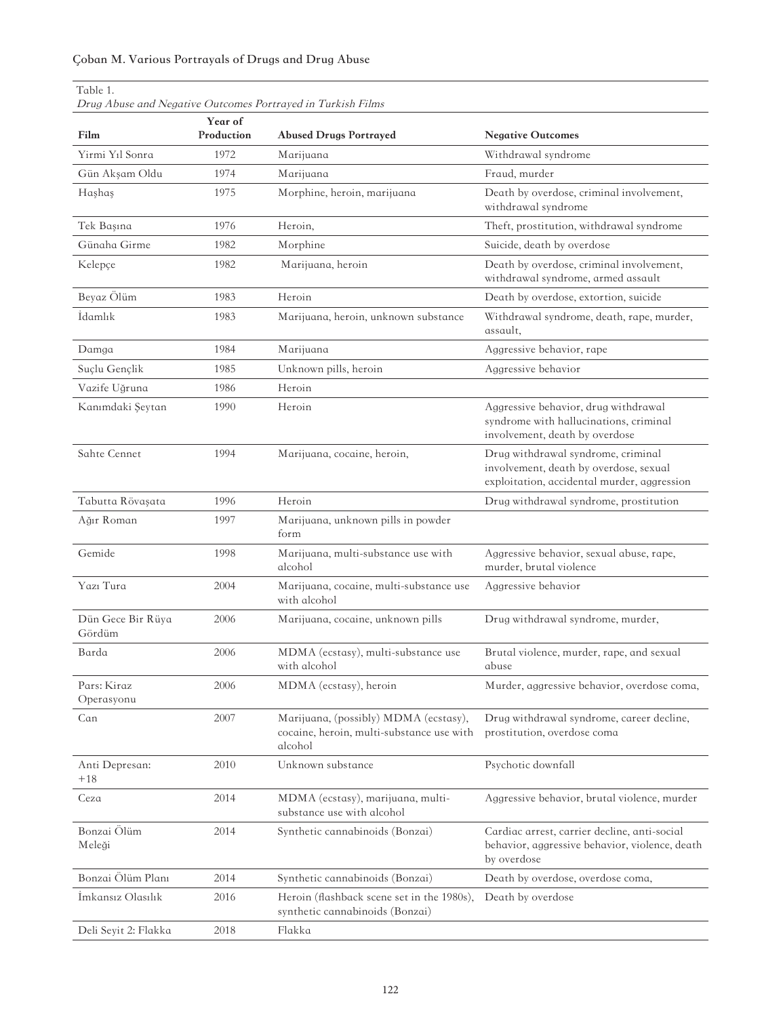# **Çoban M. Various Portrayals of Drugs and Drug Abuse**

| Table 1.<br>Drug Abuse and Negative Outcomes Portrayed in Turkish Films |                       |                                                                                               |                                                                                                                             |  |
|-------------------------------------------------------------------------|-----------------------|-----------------------------------------------------------------------------------------------|-----------------------------------------------------------------------------------------------------------------------------|--|
| Film                                                                    | Year of<br>Production | <b>Abused Drugs Portrayed</b>                                                                 | <b>Negative Outcomes</b>                                                                                                    |  |
| Yirmi Yıl Sonra                                                         | 1972                  | Marijuana                                                                                     | Withdrawal syndrome                                                                                                         |  |
| Gün Akşam Oldu                                                          | 1974                  | Marijuana                                                                                     | Fraud, murder                                                                                                               |  |
| Hashas                                                                  | 1975                  | Morphine, heroin, marijuana                                                                   | Death by overdose, criminal involvement,<br>withdrawal syndrome                                                             |  |
| Tek Başına                                                              | 1976                  | Heroin,                                                                                       | Theft, prostitution, withdrawal syndrome                                                                                    |  |
| Günaha Girme                                                            | 1982                  | Morphine                                                                                      | Suicide, death by overdose                                                                                                  |  |
| Kelepçe                                                                 | 1982                  | Marijuana, heroin                                                                             | Death by overdose, criminal involvement,<br>withdrawal syndrome, armed assault                                              |  |
| Beyaz Ölüm                                                              | 1983                  | Heroin                                                                                        | Death by overdose, extortion, suicide                                                                                       |  |
| İdamlık                                                                 | 1983                  | Marijuana, heroin, unknown substance                                                          | Withdrawal syndrome, death, rape, murder,<br>assault.                                                                       |  |
| Damga                                                                   | 1984                  | Marijuana                                                                                     | Aggressive behavior, rape                                                                                                   |  |
| Suçlu Gençlik                                                           | 1985                  | Unknown pills, heroin                                                                         | Aggressive behavior                                                                                                         |  |
| Vazife Uğruna                                                           | 1986                  | Heroin                                                                                        |                                                                                                                             |  |
| Kanımdaki Şeytan                                                        | 1990                  | Heroin                                                                                        | Aggressive behavior, drug withdrawal<br>syndrome with hallucinations, criminal<br>involvement, death by overdose            |  |
| Sahte Cennet                                                            | 1994                  | Marijuana, cocaine, heroin,                                                                   | Drug withdrawal syndrome, criminal<br>involvement, death by overdose, sexual<br>exploitation, accidental murder, aggression |  |
| Tabutta Rövaşata                                                        | 1996                  | Heroin                                                                                        | Drug withdrawal syndrome, prostitution                                                                                      |  |
| Ağır Roman                                                              | 1997                  | Marijuana, unknown pills in powder<br>form                                                    |                                                                                                                             |  |
| Gemide                                                                  | 1998                  | Marijuana, multi-substance use with<br>alcohol                                                | Aggressive behavior, sexual abuse, rape,<br>murder, brutal violence                                                         |  |
| Yazı Tura                                                               | 2004                  | Marijuana, cocaine, multi-substance use<br>with alcohol                                       | Aggressive behavior                                                                                                         |  |
| Dün Gece Bir Rüya<br>Gördüm                                             | 2006                  | Marijuana, cocaine, unknown pills                                                             | Drug withdrawal syndrome, murder,                                                                                           |  |
| Barda                                                                   | 2006                  | MDMA (ecstasy), multi-substance use<br>with alcohol                                           | Brutal violence, murder, rape, and sexual<br>abuse                                                                          |  |
| Pars: Kiraz<br>Operasyonu                                               | 2006                  | MDMA (ecstasy), heroin                                                                        | Murder, aggressive behavior, overdose coma,                                                                                 |  |
| Can                                                                     | 2007                  | Marijuana, (possibly) MDMA (ecstasy),<br>cocaine, heroin, multi-substance use with<br>alcohol | Drug withdrawal syndrome, career decline,<br>prostitution, overdose coma                                                    |  |
| Anti Depresan:<br>$+18$                                                 | 2010                  | Unknown substance                                                                             | Psychotic downfall                                                                                                          |  |
| Ceza                                                                    | 2014                  | MDMA (ecstasy), marijuana, multi-<br>substance use with alcohol                               | Aggressive behavior, brutal violence, murder                                                                                |  |
| Bonzai Ölüm<br>Meleği                                                   | 2014                  | Synthetic cannabinoids (Bonzai)                                                               | Cardiac arrest, carrier decline, anti-social<br>behavior, aggressive behavior, violence, death<br>by overdose               |  |
| Bonzai Ölüm Planı                                                       | 2014                  | Synthetic cannabinoids (Bonzai)                                                               | Death by overdose, overdose coma,                                                                                           |  |
| İmkansız Olasılık                                                       | 2016                  | Heroin (flashback scene set in the 1980s),<br>synthetic cannabinoids (Bonzai)                 | Death by overdose                                                                                                           |  |
| Deli Seyit 2: Flakka                                                    | 2018                  | Flakka                                                                                        |                                                                                                                             |  |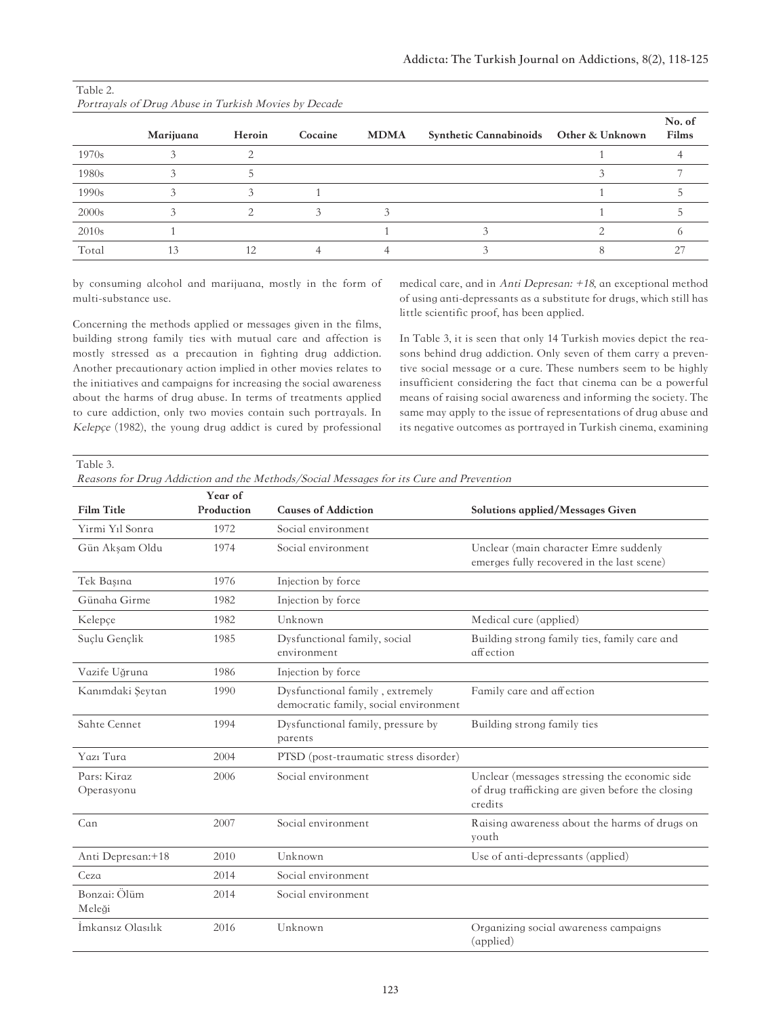|       | Marijuana | Heroin | Cocaine | <b>MDMA</b> | Synthetic Cannabinoids Other & Unknown | No. of<br>Films |
|-------|-----------|--------|---------|-------------|----------------------------------------|-----------------|
| 1970s |           |        |         |             |                                        |                 |
| 1980s |           |        |         |             |                                        |                 |
| 1990s |           |        |         |             |                                        |                 |
| 2000s |           |        |         |             |                                        |                 |
| 2010s |           |        |         |             |                                        |                 |
| Total |           |        |         |             |                                        |                 |

| Table 2.                                             |  |
|------------------------------------------------------|--|
| Portrayals of Drug Abuse in Turkish Movies by Decade |  |

by consuming alcohol and marijuana, mostly in the form of multi-substance use.

Concerning the methods applied or messages given in the films, building strong family ties with mutual care and affection is mostly stressed as a precaution in fighting drug addiction. Another precautionary action implied in other movies relates to the initiatives and campaigns for increasing the social awareness about the harms of drug abuse. In terms of treatments applied to cure addiction, only two movies contain such portrayals. In Kelepçe (1982), the young drug addict is cured by professional medical care, and in Anti Depresan: +18, an exceptional method of using anti-depressants as a substitute for drugs, which still has little scientific proof, has been applied.

In Table 3, it is seen that only 14 Turkish movies depict the reasons behind drug addiction. Only seven of them carry a preventive social message or a cure. These numbers seem to be highly insufficient considering the fact that cinema can be a powerful means of raising social awareness and informing the society. The same may apply to the issue of representations of drug abuse and its negative outcomes as portrayed in Turkish cinema, examining

Table 3.

| Reasons for Drug Addiction and the Methods/Social Messages for its Cure and Prevention |  |
|----------------------------------------------------------------------------------------|--|
|----------------------------------------------------------------------------------------|--|

|                           | Year of    |                                                                          |                                                                                                              |
|---------------------------|------------|--------------------------------------------------------------------------|--------------------------------------------------------------------------------------------------------------|
| <b>Film Title</b>         | Production | <b>Causes of Addiction</b>                                               | Solutions applied/Messages Given                                                                             |
| Yirmi Yıl Sonra           | 1972       | Social environment                                                       |                                                                                                              |
| Gün Akşam Oldu            | 1974       | Social environment                                                       | Unclear (main character Emre suddenly<br>emerges fully recovered in the last scene)                          |
| Tek Başına                | 1976       | Injection by force                                                       |                                                                                                              |
| Günaha Girme              | 1982       | Injection by force                                                       |                                                                                                              |
| Kelepçe                   | 1982       | Unknown                                                                  | Medical cure (applied)                                                                                       |
| Suçlu Gençlik             | 1985       | Dysfunctional family, social<br>environment                              | Building strong family ties, family care and<br>affection                                                    |
| Vazife Uğruna             | 1986       | Injection by force                                                       |                                                                                                              |
| Kanımdaki Şeytan          | 1990       | Dysfunctional family, extremely<br>democratic family, social environment | Family care and affection                                                                                    |
| Sahte Cennet              | 1994       | Dysfunctional family, pressure by<br>parents                             | Building strong family ties                                                                                  |
| Yazı Tura                 | 2004       | PTSD (post-traumatic stress disorder)                                    |                                                                                                              |
| Pars: Kiraz<br>Operasyonu | 2006       | Social environment                                                       | Unclear (messages stressing the economic side<br>of drug trafficking are given before the closing<br>credits |
| Can                       | 2007       | Social environment                                                       | Raising awareness about the harms of drugs on<br>youth                                                       |
| Anti Depresan:+18         | 2010       | Unknown                                                                  | Use of anti-depressants (applied)                                                                            |
| Ceza                      | 2014       | Social environment                                                       |                                                                                                              |
| Bonzai: Ölüm<br>Meleği    | 2014       | Social environment                                                       |                                                                                                              |
| İmkansız Olasılık         | 2016       | Unknown                                                                  | Organizing social awareness campaigns<br>(applied)                                                           |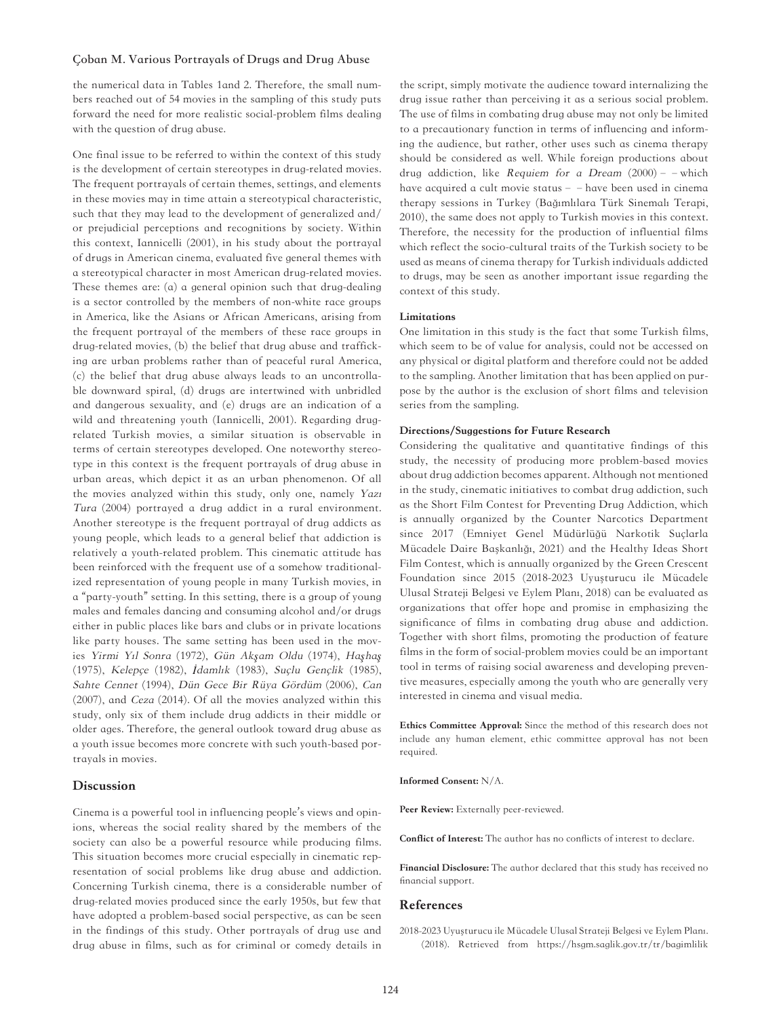#### **Çoban M. Various Portrayals of Drugs and Drug Abuse**

the numerical data in Tables 1and 2. Therefore, the small numbers reached out of 54 movies in the sampling of this study puts forward the need for more realistic social-problem films dealing with the question of drug abuse.

One final issue to be referred to within the context of this study is the development of certain stereotypes in drug-related movies. The frequent portrayals of certain themes, settings, and elements in these movies may in time attain a stereotypical characteristic, such that they may lead to the development of generalized and/ or prejudicial perceptions and recognitions by society. Within this context, Iannicelli (2001), in his study about the portrayal of drugs in American cinema, evaluated five general themes with a stereotypical character in most American drug-related movies. These themes are: (a) a general opinion such that drug-dealing is a sector controlled by the members of non-white race groups in America, like the Asians or African Americans, arising from the frequent portrayal of the members of these race groups in drug-related movies, (b) the belief that drug abuse and trafficking are urban problems rather than of peaceful rural America, (c) the belief that drug abuse always leads to an uncontrollable downward spiral, (d) drugs are intertwined with unbridled and dangerous sexuality, and (e) drugs are an indication of a wild and threatening youth (Iannicelli, 2001). Regarding drugrelated Turkish movies, a similar situation is observable in terms of certain stereotypes developed. One noteworthy stereotype in this context is the frequent portrayals of drug abuse in urban areas, which depict it as an urban phenomenon. Of all the movies analyzed within this study, only one, namely Yazı Tura (2004) portrayed a drug addict in a rural environment. Another stereotype is the frequent portrayal of drug addicts as young people, which leads to a general belief that addiction is relatively a youth-related problem. This cinematic attitude has been reinforced with the frequent use of a somehow traditionalized representation of young people in many Turkish movies, in a "party-youth" setting. In this setting, there is a group of young males and females dancing and consuming alcohol and/or drugs either in public places like bars and clubs or in private locations like party houses. The same setting has been used in the movies Yirmi Yıl Sonra (1972), Gün Ak*ş*am Oldu (1974), Ha*ş*ha*ş* (1975), Kelepçe (1982), *İ*damlık (1983), Suçlu Gençlik (1985), Sahte Cennet (1994), Dün Gece Bir Rüya Gördüm (2006), Can (2007), and Ceza (2014). Of all the movies analyzed within this study, only six of them include drug addicts in their middle or older ages. Therefore, the general outlook toward drug abuse as a youth issue becomes more concrete with such youth-based portrayals in movies.

# Discussion

Cinema is a powerful tool in influencing people's views and opinions, whereas the social reality shared by the members of the society can also be a powerful resource while producing films. This situation becomes more crucial especially in cinematic representation of social problems like drug abuse and addiction. Concerning Turkish cinema, there is a considerable number of drug-related movies produced since the early 1950s, but few that have adopted a problem-based social perspective, as can be seen in the findings of this study. Other portrayals of drug use and drug abuse in films, such as for criminal or comedy details in

the script, simply motivate the audience toward internalizing the drug issue rather than perceiving it as a serious social problem. The use of films in combating drug abuse may not only be limited to a precautionary function in terms of influencing and informing the audience, but rather, other uses such as cinema therapy should be considered as well. While foreign productions about drug addiction, like Requiem for a Dream  $(2000)$  – – which have acquired a cult movie status - - have been used in cinema therapy sessions in Turkey (Bağımlılara Türk Sinemalı Terapi, 2010), the same does not apply to Turkish movies in this context. Therefore, the necessity for the production of influential films which reflect the socio-cultural traits of the Turkish society to be used as means of cinema therapy for Turkish individuals addicted to drugs, may be seen as another important issue regarding the context of this study.

#### Limitations

One limitation in this study is the fact that some Turkish films, which seem to be of value for analysis, could not be accessed on any physical or digital platform and therefore could not be added to the sampling. Another limitation that has been applied on purpose by the author is the exclusion of short films and television series from the sampling.

#### Directions/Suggestions for Future Research

Considering the qualitative and quantitative findings of this study, the necessity of producing more problem-based movies about drug addiction becomes apparent. Although not mentioned in the study, cinematic initiatives to combat drug addiction, such as the Short Film Contest for Preventing Drug Addiction, which is annually organized by the Counter Narcotics Department since 2017 (Emniyet Genel Müdürlüğü Narkotik Suçlarla Mücadele Daire Başkanlığı, 2021) and the Healthy Ideas Short Film Contest, which is annually organized by the Green Crescent Foundation since 2015 (2018-2023 Uyuşturucu ile Mücadele Ulusal Strateji Belgesi ve Eylem Planı, 2018) can be evaluated as organizations that offer hope and promise in emphasizing the significance of films in combating drug abuse and addiction. Together with short films, promoting the production of feature films in the form of social-problem movies could be an important tool in terms of raising social awareness and developing preventive measures, especially among the youth who are generally very interested in cinema and visual media.

Ethics Committee Approval: Since the method of this research does not include any human element, ethic committee approval has not been required.

Informed Consent: N/A.

Peer Review: Externally peer-reviewed.

Conflict of Interest: The author has no conflicts of interest to declare.

Financial Disclosure: The author declared that this study has received no financial support.

#### References

2018-2023 Uyuşturucu ile Mücadele Ulusal Strateji Belgesi ve Eylem Planı. (2018). Retrieved from [https://hsgm.saglik.gov.tr/tr/bagimlilik](https://hsgm.saglik.gov.tr/tr/bagimliliklamucadele-haberler/2018-2023-uyu%C5%9Fturucu-ile-m%C3%BCcadele-ulusal-strateji-belgesi-ve-eylem-plan%C4%B1.html)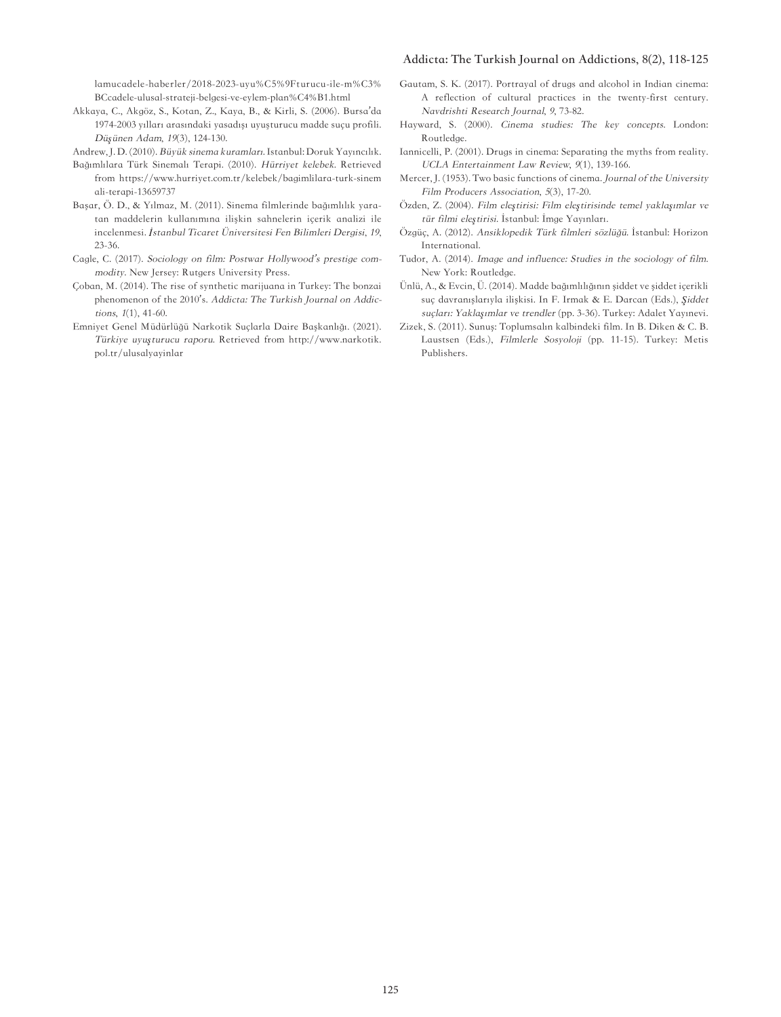#### **Addicta: The Turkish Journal on Addictions, 8(2), 118-125**

[lamucadele-haberler/2018-2023-uyu%C5%9Fturucu-ile-m%C3%](https://hsgm.saglik.gov.tr/tr/bagimliliklamucadele-haberler/2018-2023-uyu%C5%9Fturucu-ile-m%C3%BCcadele-ulusal-strateji-belgesi-ve-eylem-plan%C4%B1.html) [BCcadele-ulusal-strateji-belgesi-ve-eylem-plan%C4%B1.html](https://hsgm.saglik.gov.tr/tr/bagimliliklamucadele-haberler/2018-2023-uyu%C5%9Fturucu-ile-m%C3%BCcadele-ulusal-strateji-belgesi-ve-eylem-plan%C4%B1.html)

Akkaya, C., Akgöz, S., Kotan, Z., Kaya, B., & Kirli, S. (2006). Bursa'da 1974-2003 yılları arasındaki yasadışı uyuşturucu madde suçu profili. Dü*ş*ünen Adam, 19(3), 124-130.

Andrew, J. D. (2010). Büyük sinema kuramları. Istanbul: Doruk Yayıncılık.

- Bağımlılara Türk Sinemalı Terapi. (2010). Hürriyet kelebek. Retrieved from [https://www.hurriyet.com.tr/kelebek/bagimlilara-turk-sinem](https://www.hurriyet.com.tr/kelebek/bagimlilara-turk-sinemali-terapi-13659737) [ali-terapi-13659737](https://www.hurriyet.com.tr/kelebek/bagimlilara-turk-sinemali-terapi-13659737)
- Başar, Ö. D., & Yılmaz, M. (2011). Sinema filmlerinde bağımlılık yaratan maddelerin kullanımına ilişkin sahnelerin içerik analizi ile incelenmesi. *İ*stanbul Ticaret Üniversitesi Fen Bilimleri Dergisi, 19, 23-36.
- Cagle, C. (2017). Sociology on film: Postwar Hollywood's prestige commodity. New Jersey: Rutgers University Press.
- Çoban, M. (2014). The rise of synthetic marijuana in Turkey: The bonzai phenomenon of the 2010's. Addicta: The Turkish Journal on Addictions, 1(1), 41-60.
- Emniyet Genel Müdürlüğü Narkotik Suçlarla Daire Başkanlığı. (2021). Türkiye uyu*ş*turucu raporu. Retrieved from [http://www.narkotik.](http://www.narkotik.pol.tr/ulusalyayinlar) [pol.tr/ulusalyayinlar](http://www.narkotik.pol.tr/ulusalyayinlar)
- Gautam, S. K. (2017). Portrayal of drugs and alcohol in Indian cinema: A reflection of cultural practices in the twenty-first century. Navdrishti Research Journal, 9, 73-82.
- Hayward, S. (2000). Cinema studies: The key concepts. London: Routledge.
- Iannicelli, P. (2001). Drugs in cinema: Separating the myths from reality. UCLA Entertainment Law Review, 9(1), 139-166.
- Mercer, J. (1953). Two basic functions of cinema. Journal of the University Film Producers Association, 5(3), 17-20.
- Özden, Z. (2004). Film ele*ş*tirisi: Film ele*ş*tirisinde temel yakla*ş*ımlar ve tür filmi ele*ş*tirisi. İstanbul: İmge Yayınları.
- Özgüç, A. (2012). Ansiklopedik Türk filmleri sözlüğü. İstanbul: Horizon International.
- Tudor, A. (2014). Image and influence: Studies in the sociology of film. New York: Routledge.
- Ünlü, A., & Evcin, Ü. (2014). Madde bağımlılığının şiddet ve şiddet içerikli suç davranışlarıyla ilişkisi. In F. Irmak & E. Darcan (Eds.), *Ş*iddet suçları: Yakla*ş*ımlar ve trendler (pp. 3-36). Turkey: Adalet Yayınevi.
- Zizek, S. (2011). Sunuş: Toplumsalın kalbindeki film. In B. Diken & C. B. Laustsen (Eds.), Filmlerle Sosyoloji (pp. 11-15). Turkey: Metis Publishers.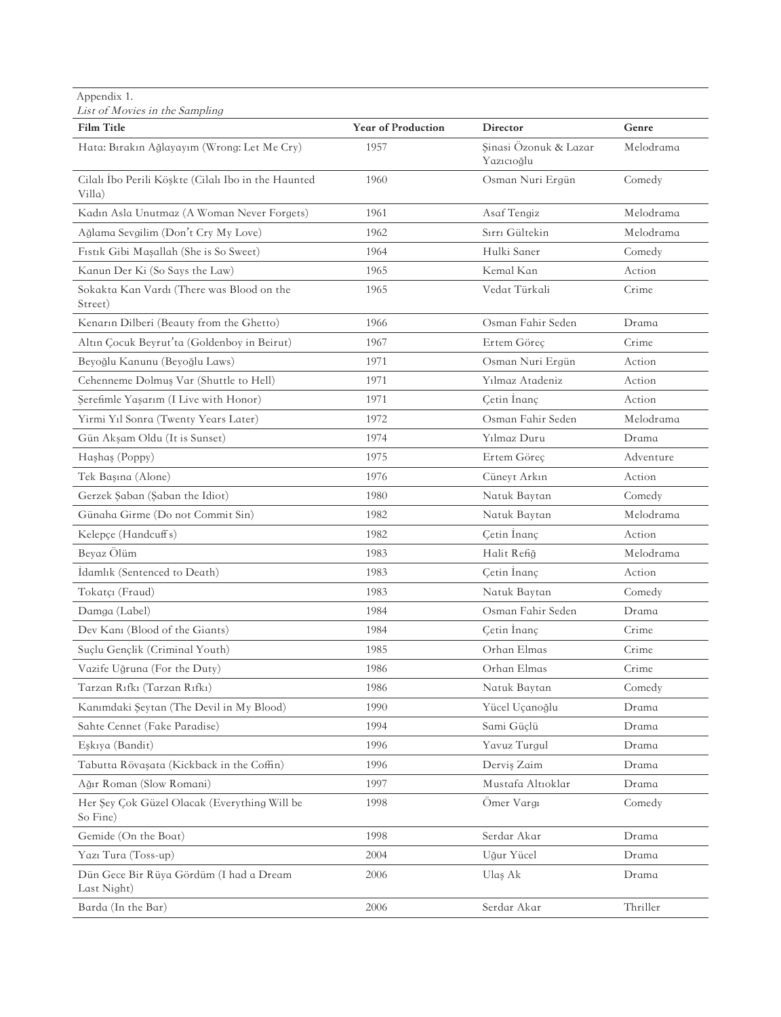Appendix 1.

| List of Movies in the Sampling                                |                           |                                     |           |
|---------------------------------------------------------------|---------------------------|-------------------------------------|-----------|
| <b>Film Title</b>                                             | <b>Year of Production</b> | Director                            | Genre     |
| Hata: Bırakın Ağlayayım (Wrong: Let Me Cry)                   | 1957                      | Şinasi Özonuk & Lazar<br>Yazıcıoğlu | Melodrama |
| Cilalı Ibo Perili Köşkte (Cilalı Ibo in the Haunted<br>Villa) | 1960                      | Osman Nuri Ergün                    | Comedy    |
| Kadın Asla Unutmaz (A Woman Never Forgets)                    | 1961                      | Asaf Tengiz                         | Melodrama |
| Ağlama Sevgilim (Don't Cry My Love)                           | 1962                      | Sırrı Gültekin                      | Melodrama |
| Fistik Gibi Maşallah (She is So Sweet)                        | 1964                      | Hulki Saner                         | Comedy    |
| Kanun Der Ki (So Says the Law)                                | 1965                      | Kemal Kan                           | Action    |
| Sokakta Kan Vardı (There was Blood on the<br>Street)          | 1965                      | Vedat Türkali                       | Crime     |
| Kenarın Dilberi (Beauty from the Ghetto)                      | 1966                      | Osman Fahir Seden                   | Drama     |
| Altın Çocuk Beyrut'ta (Goldenboy in Beirut)                   | 1967                      | Ertem Göreç                         | Crime     |
| Beyoğlu Kanunu (Beyoğlu Laws)                                 | 1971                      | Osman Nuri Ergün                    | Action    |
| Cehenneme Dolmus Var (Shuttle to Hell)                        | 1971                      | Yılmaz Atadeniz                     | Action    |
| Serefimle Yaşarım (I Live with Honor)                         | 1971                      | Cetin Inanç                         | Action    |
| Yirmi Yıl Sonra (Twenty Years Later)                          | 1972                      | Osman Fahir Seden                   | Melodrama |
| Gün Akşam Oldu (It is Sunset)                                 | 1974                      | Yılmaz Duru                         | Drama     |
| Hashas (Poppy)                                                | 1975                      | Ertem Göreç                         | Adventure |
| Tek Başına (Alone)                                            | 1976                      | Cüneyt Arkın                        | Action    |
| Gerzek Şaban (Şaban the Idiot)                                | 1980                      | Natuk Baytan                        | Comedy    |
| Günaha Girme (Do not Commit Sin)                              | 1982                      | Natuk Baytan                        | Melodrama |
| Kelepçe (Handcuff s)                                          | 1982                      | Cetin Inanç                         | Action    |
| Beyaz Ölüm                                                    | 1983                      | Halit Refiğ                         | Melodrama |
| Idamlık (Sentenced to Death)                                  | 1983                      | Cetin Inanç                         | Action    |
| Tokatçı (Fraud)                                               | 1983                      | Natuk Baytan                        | Comedy    |
| Damga (Label)                                                 | 1984                      | Osman Fahir Seden                   | Drama     |
| Dev Kanı (Blood of the Giants)                                | 1984                      | Çetin İnanç                         | Crime     |
| Suclu Genclik (Criminal Youth)                                | 1985                      | Orhan Elmas                         | Crime     |
| Vazife Uğruna (For the Duty)                                  | 1986                      | Orhan Elmas                         | Crime     |
| Tarzan Rıfkı (Tarzan Rıfkı)                                   | 1986                      | Natuk Baytan                        | Comedy    |
| Kanımdaki Şeytan (The Devil in My Blood)                      | 1990                      | Yücel Uçanoğlu                      | Drama     |
| Sahte Cennet (Fake Paradise)                                  | 1994                      | Sami Güçlü                          | Drama     |
| Eşkıya (Bandit)                                               | 1996                      | Yavuz Turgul                        | Drama     |
| Tabutta Rövaşata (Kickback in the Coffin)                     | 1996                      | Dervis Zaim                         | Drama     |
| Ağır Roman (Slow Romani)                                      | 1997                      | Mustafa Altıoklar                   | Drama     |
| Her Şey Çok Güzel Olacak (Everything Will be<br>So Fine)      | 1998                      | Ömer Vargı                          | Comedy    |
| Gemide (On the Boat)                                          | 1998                      | Serdar Akar                         | Drama     |
| Yazı Tura (Toss-up)                                           | 2004                      | Uğur Yücel                          | Drama     |
| Dün Gece Bir Rüya Gördüm (I had a Dream<br>Last Night)        | 2006                      | Ulaş Ak                             | Drama     |
| Barda (In the Bar)                                            | 2006                      | Serdar Akar                         | Thriller  |